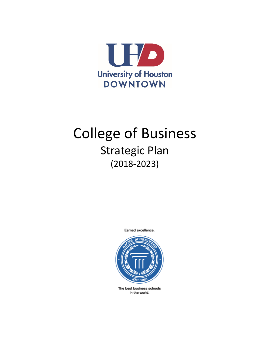

# College of Business Strategic Plan (2018-2023)

Earned excellence.



The best business schools in the world.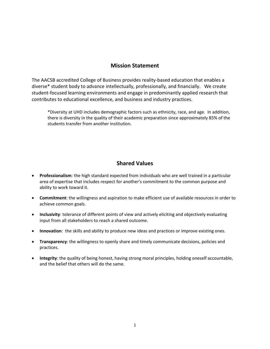# **Mission Statement**

The AACSB accredited College of Business provides reality-based education that enables a diverse\* student body to advance intellectually, professionally, and financially. We create student-focused learning environments and engage in predominantly applied research that contributes to educational excellence, and business and industry practices.

\*Diversity at UHD includes demographic factors such as ethnicity, race, and age. In addition, there is diversity in the quality of their academic preparation since approximately 85% of the students transfer from another institution.

# **Shared Values**

- **Professionalism**: the high standard expected from individuals who are well trained in a particular area of expertise that includes respect for another's commitment to the common purpose and ability to work toward it.
- **Commitment**: the willingness and aspiration to make efficient use of available resources in order to achieve common goals.
- **Inclusivity**: tolerance of different points of view and actively eliciting and objectively evaluating input from all stakeholders to reach a shared outcome.
- **Innovation**: the skills and ability to produce new ideas and practices or improve existing ones.
- **Transparency**: the willingness to openly share and timely communicate decisions, policies and practices.
- **Integrity**: the quality of being honest, having strong moral principles, holding oneself accountable, and the belief that others will do the same.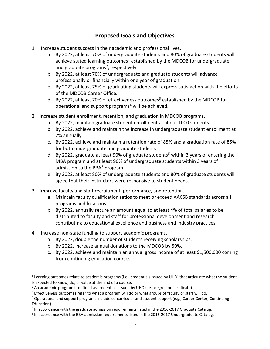# **Proposed Goals and Objectives**

- 1. Increase student success in their academic and professional lives.
	- a. By 2022, at least 70% of undergraduate students and 80% of graduate students will achieve stated learning outcomes*[1](#page-2-0)* established by the MDCOB for undergraduate and graduate programs<sup>[2](#page-2-1)</sup>, respectively.
	- b. By 2022, at least 70% of undergraduate and graduate students will advance professionally or financially within one year of graduation.
	- c. By 2022, at least 75% of graduating students will express satisfaction with the efforts of the MDCOB Career Office.
	- d. By 2022, at least 70% of effectiveness outcomes<sup>[3](#page-2-2)</sup> established by the MDCOB for operational and support programs<sup>[4](#page-2-3)</sup> will be achieved.
- 2. Increase student enrollment, retention, and graduation in MDCOB programs.
	- a. By 2022, maintain graduate student enrollment at about 1000 students.
	- b. By 2022, achieve and maintain the increase in undergraduate student enrollment at 2% annually.
	- c. By 2022, achieve and maintain a retention rate of 85% and a graduation rate of 85% for both undergraduate and graduate students.
	- d. By 2022, graduate at least 90% of graduate students<sup>5</sup> within 3 years of entering the MBA program and at least 90% of undergraduate students within 3 years of admission to the BBA $<sup>6</sup>$  $<sup>6</sup>$  $<sup>6</sup>$  program.</sup>
	- e. By 2022, at least 80% of undergraduate students and 80% of graduate students will agree that their instructors were responsive to student needs.
- 3. Improve faculty and staff recruitment, performance, and retention.
	- a. Maintain faculty qualification ratios to meet or exceed AACSB standards across all programs and locations.
	- b. By 2022, annually secure an amount equal to at least 4% of total salaries to be distributed to faculty and staff for professional development and research contributing to educational excellence and business and industry practices.
- 4. Increase non-state funding to support academic programs.
	- a. By 2022, double the number of students receiving scholarships.
	- b. By 2022, increase annual donations to the MDCOB by 50%.
	- c. By 2022, achieve and maintain an annual gross income of at least \$1,500,000 coming from continuing education courses.

<span id="page-2-0"></span><sup>&</sup>lt;sup>1</sup> Learning outcomes relate to academic programs (i.e., credentials issued by UHD) that articulate what the student is expected to know, do, or value at the end of a course.

<span id="page-2-1"></span><sup>&</sup>lt;sup>2</sup> An academic program is defined as credentials issued by UHD (i.e., degree or certificate).<br><sup>3</sup> Effectiveness outcomes refer to what a program will do or what groups of faculty or staff will do.

<span id="page-2-2"></span>

<span id="page-2-3"></span><sup>4</sup> Operational and support programs include co-curricular and student support (e.g., Career Center, Continuing Education).

<span id="page-2-4"></span><sup>&</sup>lt;sup>5</sup> In accordance with the graduate admission requirements listed in the 2016-2017 Graduate Catalog.

<span id="page-2-5"></span> $6$  In accordance with the BBA admission requirements listed in the 2016-2017 Undergraduate Catalog.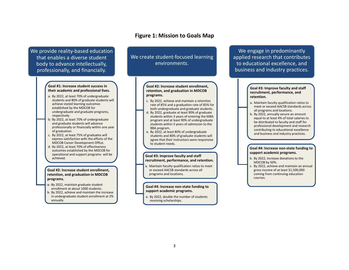## **Figure 1: Mission to Goals Map**

We provide reality-based education that enables a diverse student body to advance intellectually, professionally, and financially.

#### **Goal #1: Increase student success in their academic and professional lives.**

- a. By 2022, at least 70% of undergraduate students and 80% of graduate students will achieve stated learning outcomes established by the MDCOB for undergraduate and graduate programs, respectively.
- b. By 2022, at least 70% of undergraduate and graduate students will advance professionally or financially within one year of graduation.
- c. By 2022, at least 75% of graduates will express satisfaction with the efforts of the MDCOB Career Development Office.
- d. By 2022, at least 70% of effectiveness outcomes established by the MDCOB for operational and support programs will be achieved.

#### **Goal #2: Increase student enrollment, retention, and graduation in MDCOB programs.**

- a. By 2022, maintain graduate student enrollment at about 1000 students.
- b. By 2022, achieve and maintain the increase in undergraduate student enrollment at 2% annually.

## We create student-focused learning environments.

### **Goal #2: Increase student enrollment, retention, and graduation in MDCOB programs.**

- c. By 2022, achieve and maintain a retention rate of 85% and a graduation rate of 85% for both undergraduate and graduate students.
- d. By 2022, graduate at least 90% of graduate students within 3 years of entering the MBA program and at least 90% of undergraduate students within 3 years of admission to the BBA program.
- e. By 2022, at least 80% of undergraduate students and 80% of graduate students will agree that their instructors were responsive to student needs.

#### **Goal #3: Improve faculty and staff recruitment, performance, and retention.**

a. Maintain faculty qualification ratios to meet or exceed AACSB standards across all programs and locations.

#### **Goal #4: Increase non-state funding to support academic programs.**

a. By 2022, double the number of students receiving scholarships.

We engage in predominantly applied research that contributes to educational excellence, and business and industry practices.

#### **Goal #3: Improve faculty and staff recruitment, performance, and retention.**

- a. Maintain faculty qualification ratios to meet or exceed AACSB standards across all programs and locations.
- b. By 2022, annually secure an amount equal to at least 4% of total salaries to be distributed to faculty and staff for professional development and research contributing to educational excellence and business and industry practices.

#### **Goal #4: Increase non-state funding to support academic programs.**

- b. By 2022, increase donations to the MDCOB by 50%.
- c. By 2022, achieve and maintain an annual gross income of at least \$1,500,000 coming from continuing education courses.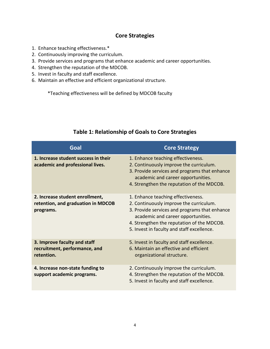# **Core Strategies**

- 1. Enhance teaching effectiveness.\*
- 2. Continuously improving the curriculum.
- 3. Provide services and programs that enhance academic and career opportunities.
- 4. Strengthen the reputation of the MDCOB.
- 5. Invest in faculty and staff excellence.
- 6. Maintain an effective and efficient organizational structure.

\*Teaching effectiveness will be defined by MDCOB faculty

| Goal                                                                               | <b>Core Strategy</b>                                                                                                                                                                                                                                             |
|------------------------------------------------------------------------------------|------------------------------------------------------------------------------------------------------------------------------------------------------------------------------------------------------------------------------------------------------------------|
| 1. Increase student success in their<br>academic and professional lives.           | 1. Enhance teaching effectiveness.<br>2. Continuously improve the curriculum.<br>3. Provide services and programs that enhance<br>academic and career opportunities.<br>4. Strengthen the reputation of the MDCOB.                                               |
| 2. Increase student enrollment,<br>retention, and graduation in MDCOB<br>programs. | 1. Enhance teaching effectiveness.<br>2. Continuously improve the curriculum.<br>3. Provide services and programs that enhance<br>academic and career opportunities.<br>4. Strengthen the reputation of the MDCOB.<br>5. Invest in faculty and staff excellence. |
| 3. Improve faculty and staff<br>recruitment, performance, and<br>retention.        | 5. Invest in faculty and staff excellence.<br>6. Maintain an effective and efficient<br>organizational structure.                                                                                                                                                |
| 4. Increase non-state funding to<br>support academic programs.                     | 2. Continuously improve the curriculum.<br>4. Strengthen the reputation of the MDCOB.<br>5. Invest in faculty and staff excellence.                                                                                                                              |

# **Table 1: Relationship of Goals to Core Strategies**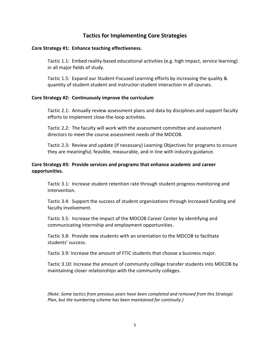# **Tactics for Implementing Core Strategies**

## **Core Strategy #1: Enhance teaching effectiveness.**

Tactic 1.1: Embed reality-based educational activities (e.g. high impact, service learning) in all major fields of study.

Tactic 1.5: Expand our Student-Focused Learning efforts by increasing the quality & quantity of student-student and instructor-student interaction in all courses.

## **Core Strategy #2: Continuously improve the curriculum**

Tactic 2.1: Annually review assessment plans and data by disciplines and support faculty efforts to implement close-the-loop activities.

Tactic 2.2: The faculty will work with the assessment committee and assessment directors to meet the course assessment needs of the MDCOB.

Tactic 2.3: Review and update (if necessary) Learning Objectives for programs to ensure they are meaningful, feasible, measurable, and in line with industry guidance.

## **Core Strategy #3: Provide services and programs that enhance academic and career opportunities.**

Tactic 3.1: Increase student retention rate through student progress monitoring and intervention.

Tactic 3.4: Support the success of student organizations through increased funding and faculty involvement.

Tactic 3.5: Increase the impact of the MDCOB Career Center by identifying and communicating internship and employment opportunities.

Tactic 3.8: Provide new students with an orientation to the MDCOB to facilitate students' success.

Tactic 3.9: Increase the amount of FTIC students that choose a business major.

Tactic 3.10: Increase the amount of community college transfer students into MDCOB by maintaining closer relationships with the community colleges.

*(Note: Some tactics from previous years have been completed and removed from this Strategic Plan, but the numbering scheme has been maintained for continuity.)*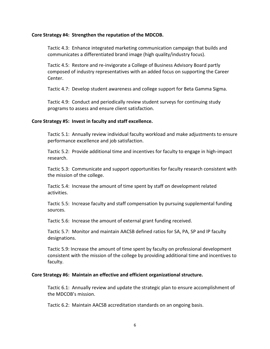## **Core Strategy #4: Strengthen the reputation of the MDCOB.**

Tactic 4.3: Enhance integrated marketing communication campaign that builds and communicates a differentiated brand image (high quality/industry focus).

Tactic 4.5: Restore and re-invigorate a College of Business Advisory Board partly composed of industry representatives with an added focus on supporting the Career Center.

Tactic 4.7: Develop student awareness and college support for Beta Gamma Sigma.

Tactic 4.9: Conduct and periodically review student surveys for continuing study programs to assess and ensure client satisfaction.

## **Core Strategy #5: Invest in faculty and staff excellence.**

Tactic 5.1: Annually review individual faculty workload and make adjustments to ensure performance excellence and job satisfaction.

Tactic 5.2: Provide additional time and incentives for faculty to engage in high-impact research.

Tactic 5.3: Communicate and support opportunities for faculty research consistent with the mission of the college.

Tactic 5.4: Increase the amount of time spent by staff on development related activities.

Tactic 5.5: Increase faculty and staff compensation by pursuing supplemental funding sources.

Tactic 5.6: Increase the amount of external grant funding received.

Tactic 5.7: Monitor and maintain AACSB defined ratios for SA, PA, SP and IP faculty designations.

Tactic 5.9: Increase the amount of time spent by faculty on professional development consistent with the mission of the college by providing additional time and incentives to faculty.

## **Core Strategy #6: Maintain an effective and efficient organizational structure.**

Tactic 6.1: Annually review and update the strategic plan to ensure accomplishment of the MDCOB's mission.

Tactic 6.2: Maintain AACSB accreditation standards on an ongoing basis.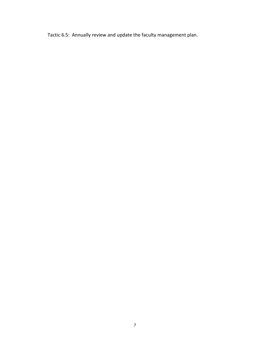Tactic 6.5: Annually review and update the faculty management plan.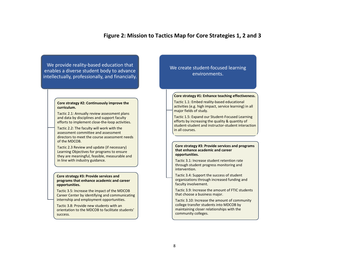## **Figure 2: Mission to Tactics Map for Core Strategies 1, 2 and 3**

We provide reality-based education that enables a diverse student body to advance intellectually, professionally, and financially.

#### **Core strategy #2: Continuously improve the curriculum.**

Tactic 2.1: Annually review assessment plans and data by disciplines and support faculty efforts to implement close-the-loop activities.

Tactic 2.2: The faculty will work with the assessment committee and assessment directors to meet the course assessment needs of the MDCOB.

Tactic 2.3 Review and update (if necessary) Learning Objectives for programs to ensure they are meaningful, feasible, measurable and in line with industry guidance.

#### **Core strategy #3: Provide services and programs that enhance academic and career opportunities.**

Tactic 3.5: Increase the impact of the MDCOB Career Center by identifying and communicating internship and employment opportunities.

Tactic 3.8: Provide new students with an orientation to the MDCOB to facilitate students' success.

## We create student-focused learning environments.

#### **Core strategy #1: Enhance teaching effectiveness.**

Tactic 1.1: Embed reality-based educational activities (e.g. high impact, service learning) in all major fields of study.

Tactic 1.5: Expand our Student-Focused Learning efforts by increasing the quality & quantity of student-student and instructor-student interaction in all courses.

#### **Core strategy #3: Provide services and programs that enhance academic and career opportunities.**

Tactic 3.1: Increase student retention rate through student progress monitoring and intervention.

Tactic 3.4: Support the success of student organizations through increased funding and faculty involvement.

Tactic 3.9: Increase the amount of FTIC students that choose a business major.

Tactic 3.10: Increase the amount of community college transfer students into MDCOB by maintaining closer relationships with the community colleges.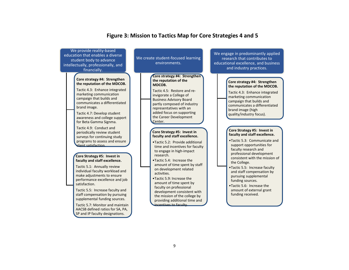

## **Figure 3: Mission to Tactics Map for Core Strategies 4 and 5**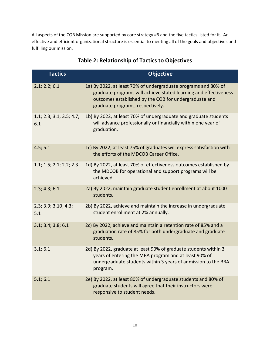All aspects of the COB Mission are supported by core strategy #6 and the five tactics listed for it. An effective and efficient organizational structure is essential to meeting all of the goals and objectives and fulfilling our mission.

| <b>Tactics</b>                  | <b>Objective</b>                                                                                                                                                                                                                |
|---------------------------------|---------------------------------------------------------------------------------------------------------------------------------------------------------------------------------------------------------------------------------|
| 2.1; 2.2; 6.1                   | 1a) By 2022, at least 70% of undergraduate programs and 80% of<br>graduate programs will achieve stated learning and effectiveness<br>outcomes established by the COB for undergraduate and<br>graduate programs, respectively. |
| 1.1; 2.3; 3.1; 3.5; 4.7;<br>6.1 | 1b) By 2022, at least 70% of undergraduate and graduate students<br>will advance professionally or financially within one year of<br>graduation.                                                                                |
| 4.5; 5.1                        | 1c) By 2022, at least 75% of graduates will express satisfaction with<br>the efforts of the MDCOB Career Office.                                                                                                                |
| 1.1; 1.5; 2.1; 2.2; 2.3         | 1d) By 2022, at least 70% of effectiveness outcomes established by<br>the MDCOB for operational and support programs will be<br>achieved.                                                                                       |
| 2.3; 4.3; 6.1                   | 2a) By 2022, maintain graduate student enrollment at about 1000<br>students.                                                                                                                                                    |
| 2.3; 3.9; 3.10; 4.3;<br>5.1     | 2b) By 2022, achieve and maintain the increase in undergraduate<br>student enrollment at 2% annually.                                                                                                                           |
| 3.1; 3.4; 3.8; 6.1              | 2c) By 2022, achieve and maintain a retention rate of 85% and a<br>graduation rate of 85% for both undergraduate and graduate<br>students.                                                                                      |
| 3.1; 6.1                        | 2d) By 2022, graduate at least 90% of graduate students within 3<br>years of entering the MBA program and at least 90% of<br>undergraduate students within 3 years of admission to the BBA<br>program.                          |
| 5.1; 6.1                        | 2e) By 2022, at least 80% of undergraduate students and 80% of<br>graduate students will agree that their instructors were<br>responsive to student needs.                                                                      |

# **Table 2: Relationship of Tactics to Objectives**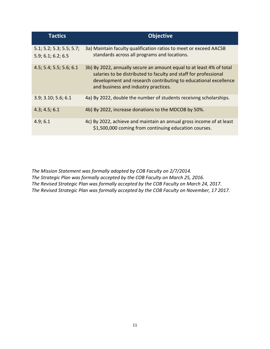| <b>Tactics</b>                                 | <b>Objective</b>                                                                                                                                                                                                                                    |
|------------------------------------------------|-----------------------------------------------------------------------------------------------------------------------------------------------------------------------------------------------------------------------------------------------------|
| 5.1; 5.2; 5.3; 5.5; 5.7;<br>5.9; 6.1; 6.2; 6.5 | 3a) Maintain faculty qualification ratios to meet or exceed AACSB<br>standards across all programs and locations.                                                                                                                                   |
| 4.5; 5.4; 5.5; 5.6; 6.1                        | 3b) By 2022, annually secure an amount equal to at least 4% of total<br>salaries to be distributed to faculty and staff for professional<br>development and research contributing to educational excellence<br>and business and industry practices. |
| 3.9; 3.10; 5.6; 6.1                            | 4a) By 2022, double the number of students receiving scholarships.                                                                                                                                                                                  |
| 4.3; 4.5; 6.1                                  | 4b) By 2022, increase donations to the MDCOB by 50%.                                                                                                                                                                                                |
| 4.9; 6.1                                       | 4c) By 2022, achieve and maintain an annual gross income of at least<br>\$1,500,000 coming from continuing education courses.                                                                                                                       |

*The Mission Statement was formally adopted by COB Faculty on 2/7/2014. The Strategic Plan was formally accepted by the COB Faculty on March 25, 2016. The Revised Strategic Plan was formally accepted by the COB Faculty on March 24, 2017. The Revised Strategic Plan was formally accepted by the COB Faculty on November, 17 2017.*